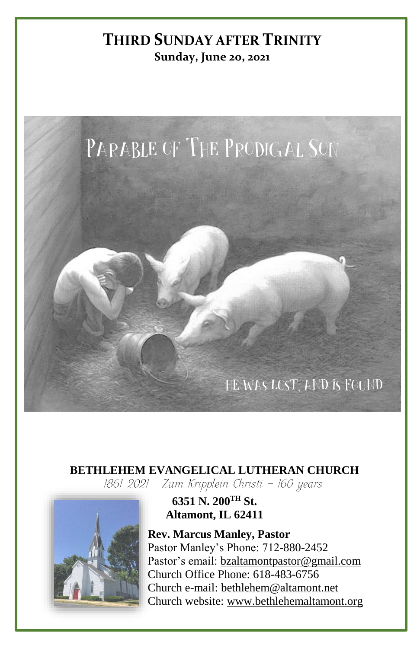# **THIRD SUNDAY AFTER TRINITY Sunday, June 20, 2021**



# **BETHLEHEM EVANGELICAL LUTHERAN CHURCH**<br>[861-2021 - Zum Kripplein Christi - 160 years]



#### **6351 N. 200TH St. Altamont, IL 62411**

**Rev. Marcus Manley, Pastor** Pastor Manley's Phone: 712-880-2452 Pastor's email[: bzaltamontpastor@gmail.com](mailto:bzaltamontpastor@gmail.com) Church Office Phone: 618-483-6756 Church e-mail: [bethlehem@altamont.net](mailto:bethlehem@altamont.net)  Church website: [www.bethlehemaltamont.org](http://www.bethlehemaltamont.org/)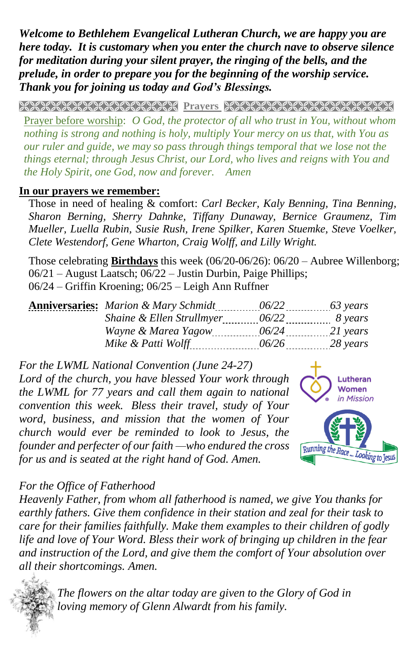*Welcome to Bethlehem Evangelical Lutheran Church, we are happy you are here today. It is customary when you enter the church nave to observe silence for meditation during your silent prayer, the ringing of the bells, and the prelude, in order to prepare you for the beginning of the worship service. Thank you for joining us today and God's Blessings.*

**PRAYARANA NATURAL PROTECT PARAMETERING CONTROLLER** 

Prayer before worship: *O God, the protector of all who trust in You, without whom nothing is strong and nothing is holy, multiply Your mercy on us that, with You as our ruler and guide, we may so pass through things temporal that we lose not the things eternal; through Jesus Christ, our Lord, who lives and reigns with You and the Holy Spirit, one God, now and forever. Amen* 

#### **In our prayers we remember:**

Those in need of healing & comfort: *Carl Becker, Kaly Benning, Tina Benning, Sharon Berning, Sherry Dahnke, Tiffany Dunaway, Bernice Graumenz, Tim Mueller, Luella Rubin, Susie Rush, Irene Spilker, Karen Stuemke, Steve Voelker, Clete Westendorf, Gene Wharton, Craig Wolff, and Lilly Wright.*

Those celebrating **Birthdays** this week (06/20-06/26): 06/20 – Aubree Willenborg; 06/21 – August Laatsch; 06/22 – Justin Durbin, Paige Phillips; 06/24 – Griffin Kroening; 06/25 – Leigh Ann Ruffner

|                           |                  | $\frac{63 \text{ years}}{2}$ |
|---------------------------|------------------|------------------------------|
| Shaine & Ellen Strullmyer | 06/22            | 8 years                      |
| Wayne & Marea Yagow       | $06/24$ 21 years |                              |
| Mike & Patti Wolff        | 06/26            | 28 years                     |

*For the LWML National Convention (June 24-27) Lord of the church, you have blessed Your work through the LWML for 77 years and call them again to national convention this week. Bless their travel, study of Your word, business, and mission that the women of Your church would ever be reminded to look to Jesus, the founder and perfecter of our faith —who endured the cross for us and is seated at the right hand of God. Amen.*



#### *For the Office of Fatherhood*

*Heavenly Father, from whom all fatherhood is named, we give You thanks for earthly fathers. Give them confidence in their station and zeal for their task to care for their families faithfully. Make them examples to their children of godly life and love of Your Word. Bless their work of bringing up children in the fear and instruction of the Lord, and give them the comfort of Your absolution over [all their s](https://www.google.com/url?sa=i&rct=j&q=&esrc=s&source=images&cd=&ved=&url=https://www.vectorstock.com/royalty-free-vector/bunch-of-flowers-bridal-bouquet-sketch-vector-8609044&psig=AOvVaw01dynd8ppVRHnP-ye6R4Nz&ust=1563978381744621)hortcomings. Amen.*

*The flowers on the altar today are given to the Glory of God in loving memory of Glenn Alwardt from his family.*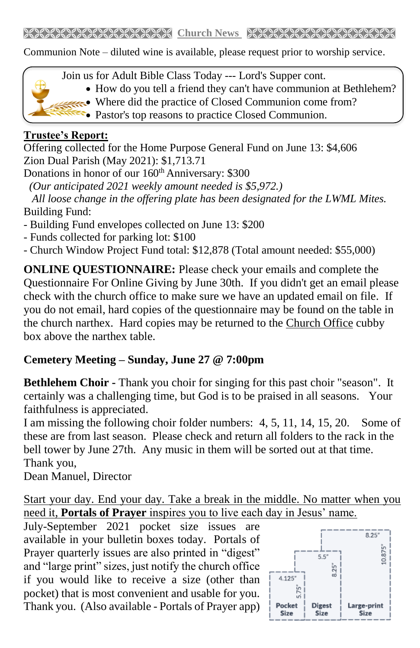Communion Note – diluted wine is available, please request prior to worship service.



- How do you tell a friend they can't have communion at Bethlehem?
- Where did the practice of Closed Communion come from?
	- **Pastor's top reasons to practice Closed Communion.**

## **Trustee's Report:**

Offering collected for the Home Purpose General Fund on June 13: \$4,606 Zion Dual Parish (May 2021): \$1,713.71

Donations in honor of our 160<sup>th</sup> Anniversary: \$300

 *(Our anticipated 2021 weekly amount needed is \$5,972.)* 

 *All loose change in the offering plate has been designated for the LWML Mites.* Building Fund:

- Building Fund envelopes collected on June 13: \$200
- Funds collected for parking lot: \$100
- Church Window Project Fund total: \$12,878 (Total amount needed: \$55,000)

**ONLINE QUESTIONNAIRE:** Please check your emails and complete the Questionnaire For Online Giving by June 30th. If you didn't get an email please check with the church office to make sure we have an updated email on file. If you do not email, hard copies of the questionnaire may be found on the table in the church narthex. Hard copies may be returned to the Church Office cubby box above the narthex table.

## **Cemetery Meeting – Sunday, June 27 @ 7:00pm**

**Bethlehem Choir -** Thank you choir for singing for this past choir "season". It certainly was a challenging time, but God is to be praised in all seasons. Your faithfulness is appreciated.

I am missing the following choir folder numbers: 4, 5, 11, 14, 15, 20. Some of these are from last season. Please check and return all folders to the rack in the bell tower by June 27th. Any music in them will be sorted out at that time. Thank you,

Dean Manuel, Director

Start your day. End your day. Take a break in the middle. No matter when you need it, **Portals of Prayer** inspires you to live each day in Jesus' name.

July-September 2021 pocket size issues are available in your bulletin boxes today. Portals of Prayer quarterly issues are also printed in "digest" and "large print" sizes, just notify the church office if you would like to receive a size (other than pocket) that is most convenient and usable for you. Thank you. (Also available - Portals of Prayer app)